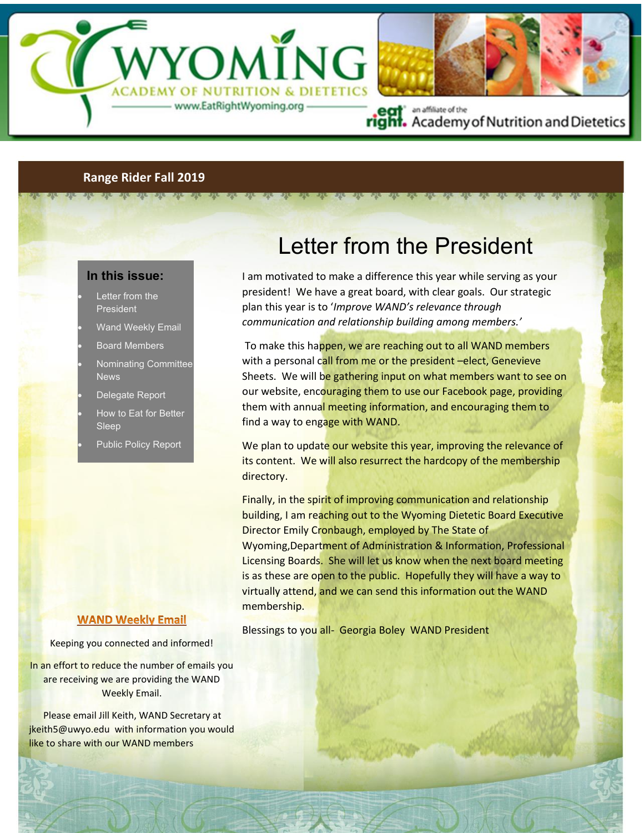

### **Range Rider Fall 2019**

 $512 - 512 - 512 - 512 - 512$ 

### **In this issue:**

- Letter from the **President**
- Wand Weekly Email
- Board Members
- Nominating Committee News
- Delegate Report
- How to Eat for Better Sleep
- Public Policy Report

#### **WAND Weekly Email**

Keeping you connected and informed!

In an effort to reduce the number of emails you are receiving we are providing the WAND Weekly Email.

 Please email Jill Keith, WAND Secretary at jkeith5@uwyo.edu with information you would like to share with our WAND members

# Letter from the President

I am motivated to make a difference this year while serving as your president! We have a great board, with clear goals. Our strategic plan this year is to '*Improve WAND's relevance through communication and relationship building among members.'*

To make this happen, we are reaching out to all WAND members with a personal call from me or the president –elect, Genevieve Sheets. We will be gathering input on what members want to see on our website, encouraging them to use our Facebook page, providing them with annual meeting information, and encouraging them to find a way to engage with WAND.

We plan to update our website this year, improving the relevance of its content. We will also resurrect the hardcopy of the membership directory.

Finally, in the spirit of improving communication and relationship building, I am reaching out to the Wyoming Dietetic Board Executive Director Emily Cronbaugh, employed by The State of Wyoming,Department of Administration & Information, Professional Licensing Boards. She will let us know when the next board meeting is as these are open to the public. Hopefully they will have a way to virtually attend, and we can send this information out the WAND membership.

Blessings to you all- Georgia Boley WAND President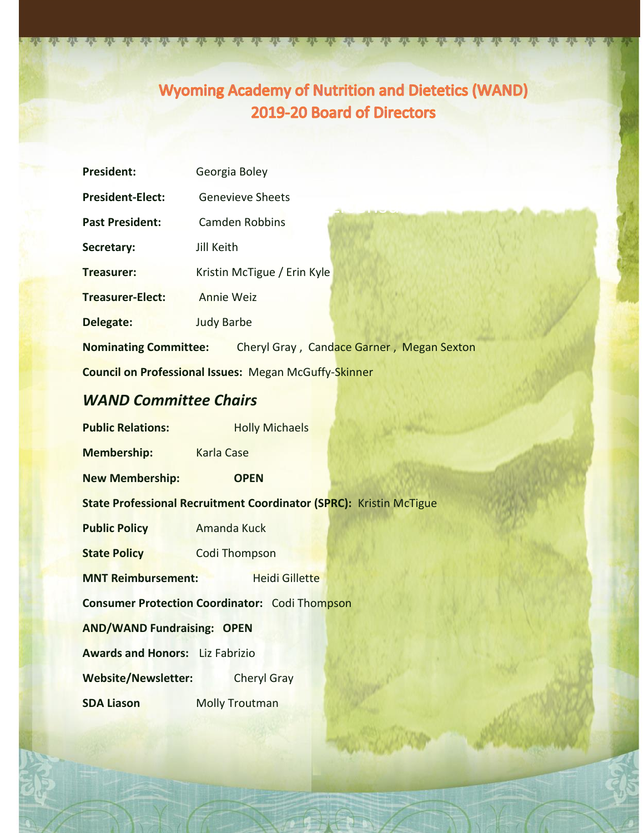## **Wyoming Academy of Nutrition and Dietetics (WAND)** 2019-20 Board of Directors

 $J\mathbb{R}$ 

26 26 26 26 2

| <b>President:</b>                                               | Georgia Boley               |
|-----------------------------------------------------------------|-----------------------------|
| <b>President-Elect:</b>                                         | <b>Genevieve Sheets</b>     |
| <b>Past President:</b>                                          | Camden Robbins              |
| Secretary:                                                      | Jill Keith                  |
| <b>Treasurer:</b>                                               | Kristin McTigue / Erin Kyle |
| <b>Treasurer-Elect:</b>                                         | Annie Weiz                  |
| Delegate:                                                       | <b>Judy Barbe</b>           |
| Nominating Committee: Cheryl Gray, Candace Garner, Megan Sexton |                             |
| <b>Council on Professional Issues: Megan McGuffy-Skinner</b>    |                             |
| <b>WAND Committee Chairs</b>                                    |                             |
| <b>Public Relations:</b>                                        | <b>Holly Michaels</b>       |

<u>Me de de de de de de de de de de vis</u>

**New Membership: OPEN**

**Membership:** Karla Case

**State Professional Recruitment Coordinator (SPRC):** Kristin McTigue

**Public Policy Amanda Kuck** 

**State Policy Codi Thompson** 

**MNT Reimbursement: Heidi Gillette** 

**Consumer Protection Coordinator:** Codi Thompson

**AND/WAND Fundraising: OPEN**

**Awards and Honors:** Liz Fabrizio

**Website/Newsletter:** Cheryl Gray

**SDA Liason** Molly Troutman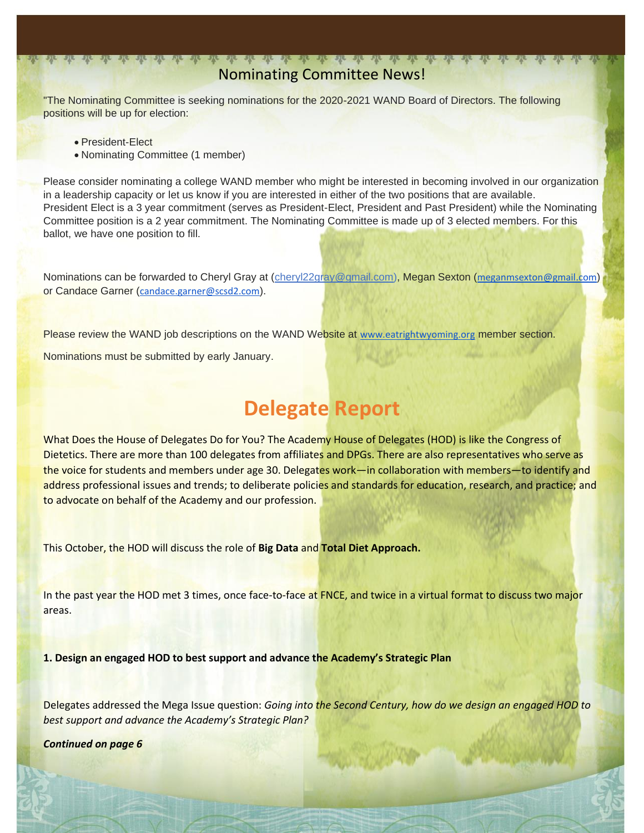### <u>ut ut ut ut ut ut ut ut ut ut ut</u> ut Nominating Committee News!

"The Nominating Committee is seeking nominations for the 2020-2021 WAND Board of Directors. The following positions will be up for election:

• President-Elect

• Nominating Committee (1 member)

Please consider nominating a college WAND member who might be interested in becoming involved in our organization in a leadership capacity or let us know if you are interested in either of the two positions that are available. President Elect is a 3 year commitment (serves as President-Elect, President and Past President) while the Nominating Committee position is a 2 year commitment. The Nominating Committee is made up of 3 elected members. For this ballot, we have one position to fill.

Nominations can be forwarded to Cheryl Gray at [\(cheryl22gray@gmail.com\)](mailto:cheryl22gray@gmail.com), Megan Sexton ([meganmsexton@gmail.com](mailto:meganmsexton@gmail.com)) or Candace Garner ([candace.garner@scsd2.com](mailto:candace.garner@scsd2.com)).

Please review the WAND job descriptions on the WAND Website at [www.eatrightwyoming.org](http://www.eatrightwyoming.org/) member section.

Nominations must be submitted by early January.

# **Delegate Report**

What Does the House of Delegates Do for You? The Academy House of Delegates (HOD) is like the Congress of Dietetics. There are more than 100 delegates from affiliates and DPGs. There are also representatives who serve as the voice for students and members under age 30. Delegates work—in collaboration with members—to identify and address professional issues and trends; to deliberate policies and standards for education, research, and practice; and to advocate on behalf of the Academy and our profession.

This October, the HOD will discuss the role of **Big Data** and **Total Diet Approach.** 

In the past year the HOD met 3 times, once face-to-face at FNCE, and twice in a virtual format to discuss two major areas.

**1. Design an engaged HOD to best support and advance the Academy's Strategic Plan**

Delegates addressed the Mega Issue question: *Going into the Second Century, how do we design an engaged HOD to best support and advance the Academy's Strategic Plan?* 

*Continued on page 6*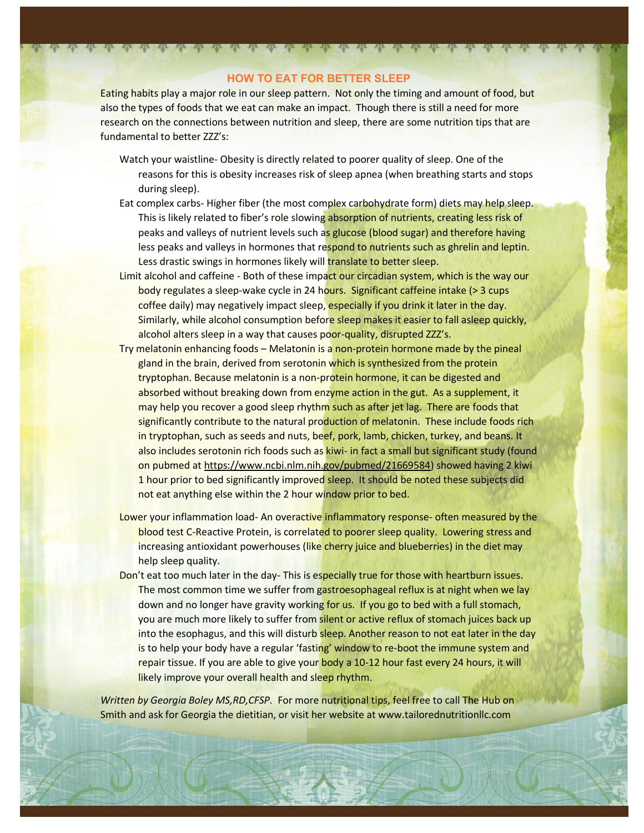### **HOW TO EAT FOR BETTER SLEEP**

<u>the the the the the the the vie</u>

2<del>2 232 232 232</del>

Eating habits play a major role in our sleep pattern. Not only the timing and amount of food, but also the types of foods that we eat can make an impact. Though there is still a need for more research on the connections between nutrition and sleep, there are some nutrition tips that are fundamental to better 777's:

- Watch your waistline- Obesity is directly related to poorer quality of sleep. One of the reasons for this is obesity increases risk of sleep apnea (when breathing starts and stops during sleep).
- Eat complex carbs- Higher fiber (the most complex carbohydrate form) diets may help sleep. This is likely related to fiber's role slowing absorption of nutrients, creating less risk of peaks and valleys of nutrient levels such as glucose (blood sugar) and therefore having less peaks and valleys in hormones that respond to nutrients such as ghrelin and leptin. Less drastic swings in hormones likely will translate to better sleep.
- Limit alcohol and caffeine Both of these impact our circadian system, which is the way our body regulates a sleep-wake cycle in 24 hours. Significant caffeine intake (> 3 cups coffee daily) may negatively impact sleep, especially if you drink it later in the day. Similarly, while alcohol consumption before sleep makes it easier to fall asleep quickly, alcohol alters sleep in a way that causes poor-quality, disrupted ZZZ's.
- Try melatonin enhancing foods Melatonin is a non-protein hormone made by the pineal gland in the brain, derived from serotonin which is synthesized from the protein tryptophan. Because melatonin is a non-protein hormone, it can be digested and absorbed without breaking down from enzyme action in the gut. As a supplement, it may help you recover a good sleep rhythm such as after jet lag. There are foods that significantly contribute to the natural production of melatonin. These include foods rich in tryptophan, such as seeds and nuts, beef, pork, lamb, chicken, turkey, and beans. It also includes serotonin rich foods such as kiwi- in fact a small but significant study (found on pubmed at [https://www.ncbi.nlm.nih.gov/pubmed/21669584\)](https://www.ncbi.nlm.nih.gov/pubmed/21669584) showed having 2 kiwi 1 hour prior to bed significantly improved sleep. It should be noted these subjects did not eat anything else within the 2 hour window prior to bed.
- Lower your inflammation load- An overactive inflammatory response- often measured by the blood test C-Reactive Protein, is correlated to poorer sleep quality. Lowering stress and increasing antioxidant powerhouses (like cherry juice and blueberries) in the diet may help sleep quality.
- Don't eat too much later in the day- This is especially true for those with heartburn issues. The most common time we suffer from gastroesophageal reflux is at night when we lay down and no longer have gravity working for us. If you go to bed with a full stomach, you are much more likely to suffer from silent or active reflux of stomach juices back up into the esophagus, and this will disturb sleep. Another reason to not eat later in the day is to help your body have a regular 'fasting' window to re-boot the immune system and repair tissue. If you are able to give your body a 10-12 hour fast every 24 hours, it will likely improve your overall health and sleep rhythm.

*Written by Georgia Boley MS,RD,CFSP.* For more nutritional tips, feel free to call The Hub on Smith and ask for Georgia the dietitian, or visit her website at www.tailorednutritionllc.com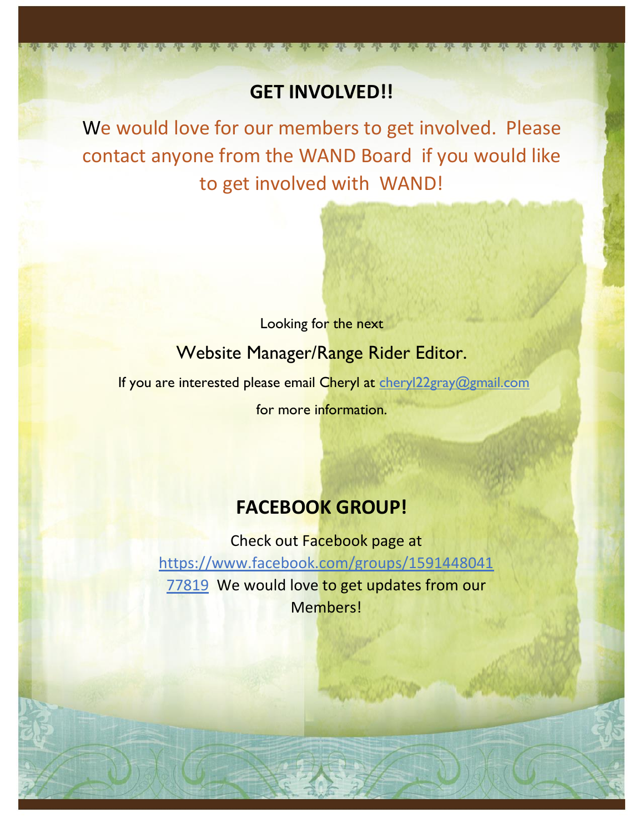# **GET INVOLVED!!**

<u>r ate ate</u> ate

We would love for our members to get involved. Please contact anyone from the WAND Board if you would like to get involved with WAND!

> Looking for the next Website Manager/Range Rider Editor.

If you are interested please email Cheryl at [cheryl22gray@gmail.com](mailto:cheryl22gray@gmail.com) 

for more information.

## **FACEBOOK GROUP!**

Check out Facebook page at [https://www.facebook.com/groups/1591448041](https://www.facebook.com/groups/159144804177819) [77819](https://www.facebook.com/groups/159144804177819) We would love to get updates from our Members!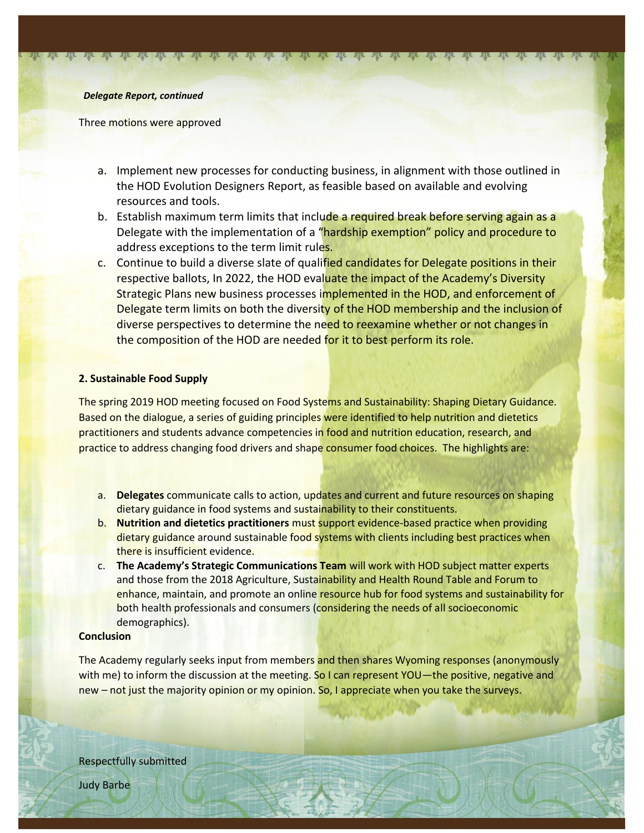#### *Delegate Report, continued*

Three motions were approved

- a. Implement new processes for conducting business, in alignment with those outlined in the HOD Evolution Designers Report, as feasible based on available and evolving resources and tools.
- b. Establish maximum term limits that include a required break before serving again as a Delegate with the implementation of a "hardship exemption" policy and procedure to address exceptions to the term limit rules.
- c. Continue to build a diverse slate of qualified candidates for Delegate positions in their respective ballots, In 2022, the HOD evaluate the impact of the Academy's Diversity Strategic Plans new business processes implemented in the HOD, and enforcement of Delegate term limits on both the diversity of the HOD membership and the inclusion of diverse perspectives to determine the need to reexamine whether or not changes in the composition of the HOD are needed for it to best perform its role.

### **2. Sustainable Food Supply**

The spring 2019 HOD meeting focused on Food Systems and Sustainability: Shaping Dietary Guidance. Based on the dialogue, a series of guiding principles were identified to help nutrition and dietetics practitioners and students advance competencies in food and nutrition education, research, and practice to address changing food drivers and shape consumer food choices. The highlights are:

- a. **Delegates** communicate calls to action, updates and current and future resources on shaping dietary guidance in food systems and sustainability to their constituents.
- b. **Nutrition and dietetics practitioners** must support evidence-based practice when providing dietary guidance around sustainable food systems with clients including best practices when there is insufficient evidence.
- c. **The Academy's Strategic Communications Team** will work with HOD subject matter experts and those from the 2018 Agriculture, Sustainability and Health Round Table and Forum to enhance, maintain, and promote an online resource hub for food systems and sustainability for both health professionals and consumers (considering the needs of all socioeconomic demographics).

### **Conclusion**

The Academy regularly seeks input from members and then shares Wyoming responses (anonymously with me) to inform the discussion at the meeting. So I can represent YOU—the positive, negative and new – not just the majority opinion or my opinion. So, I appreciate when you take the surveys.

Respectfully submitted

Judy Barbe